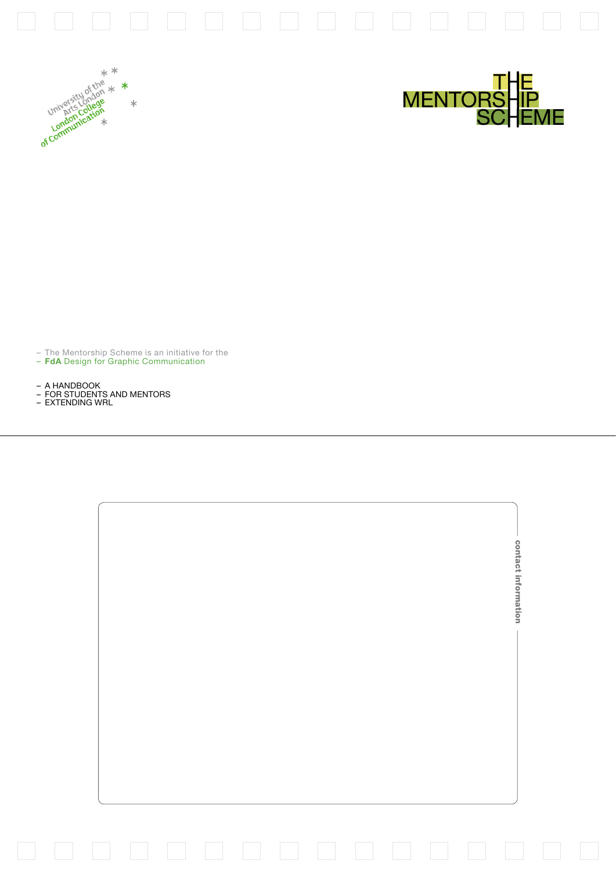





– The Mentorship Scheme is an initiative for the – **FdA** Design for Graphic Communication

– A HANDBOOK<br>– FOR STUDENTS AND MENTORS<br>– EXTENDING WRL

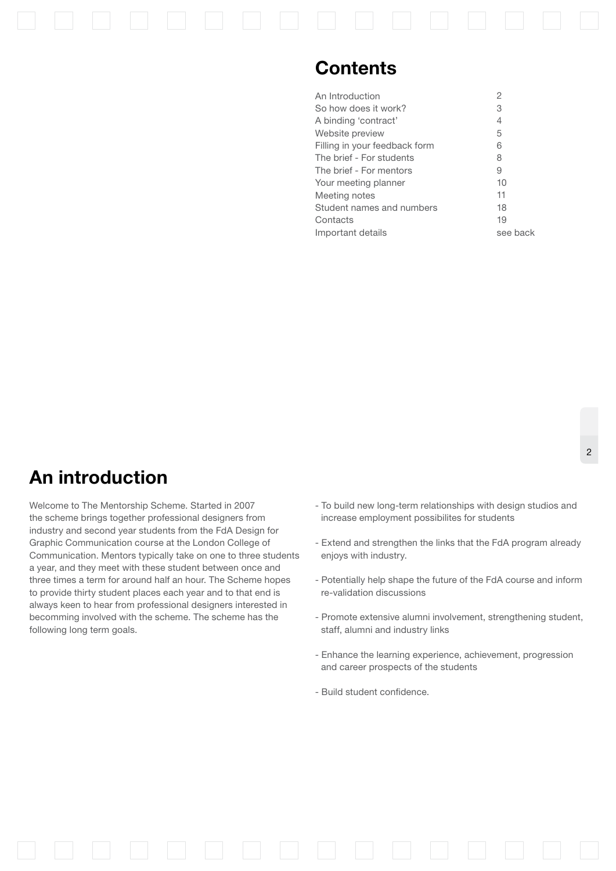### **Contents**

| An Introduction               | $\overline{2}$ |
|-------------------------------|----------------|
| So how does it work?          | З              |
| A binding 'contract'          | 4              |
| Website preview               | 5              |
| Filling in your feedback form | 6              |
| The brief - For students      | 8              |
| The brief - For mentors       | 9              |
| Your meeting planner          | 10             |
| Meeting notes                 | 11             |
| Student names and numbers     | 18             |
| Contacts                      | 19             |
| Important details             | see back       |

## **An introduction**

Welcome to The Mentorship Scheme. Started in 2007 the scheme brings together professional designers from industry and second year students from the FdA Design for Graphic Communication course at the London College of Communication. Mentors typically take on one to three students a year, and they meet with these student between once and three times a term for around half an hour. The Scheme hopes to provide thirty student places each year and to that end is always keen to hear from professional designers interested in becomming involved with the scheme. The scheme has the following long term goals.

- To build new long-term relationships with design studios and increase employment possibilites for students
- Extend and strengthen the links that the FdA program already enjoys with industry.
- Potentially help shape the future of the FdA course and inform re-validation discussions
- Promote extensive alumni involvement, strengthening student, staff, alumni and industry links
- Enhance the learning experience, achievement, progression and career prospects of the students
- Build student confidence.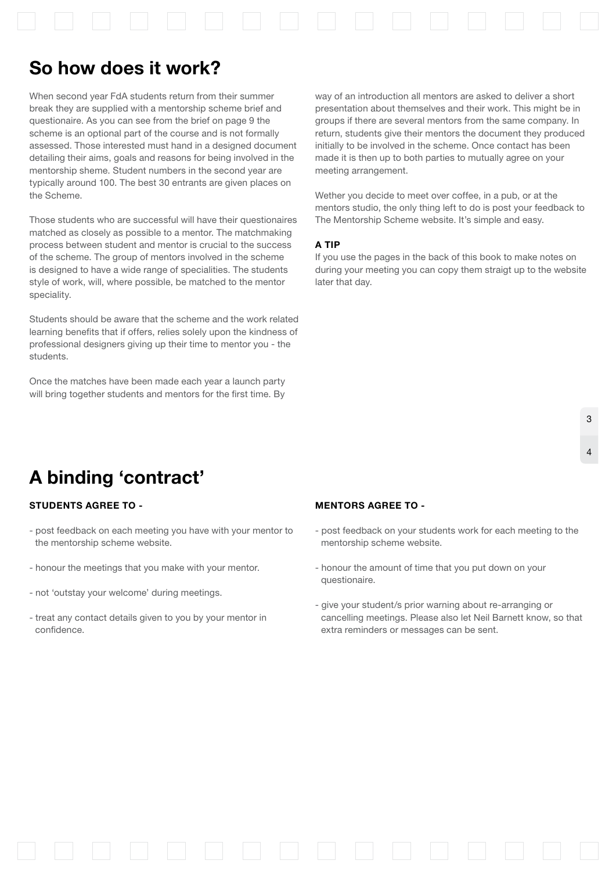

## **So how does it work?**

When second year FdA students return from their summer break they are supplied with a mentorship scheme brief and questionaire. As you can see from the brief on page 9 the scheme is an optional part of the course and is not formally assessed. Those interested must hand in a designed document detailing their aims, goals and reasons for being involved in the mentorship sheme. Student numbers in the second year are typically around 100. The best 30 entrants are given places on the Scheme.

Those students who are successful will have their questionaires matched as closely as possible to a mentor. The matchmaking process between student and mentor is crucial to the success of the scheme. The group of mentors involved in the scheme is designed to have a wide range of specialities. The students style of work, will, where possible, be matched to the mentor speciality.

Students should be aware that the scheme and the work related learning benefits that if offers, relies solely upon the kindness of professional designers giving up their time to mentor you - the students.

Once the matches have been made each year a launch party will bring together students and mentors for the first time. By

way of an introduction all mentors are asked to deliver a short presentation about themselves and their work. This might be in groups if there are several mentors from the same company. In return, students give their mentors the document they produced initially to be involved in the scheme. Once contact has been made it is then up to both parties to mutually agree on your meeting arrangement.

Wether you decide to meet over coffee, in a pub, or at the mentors studio, the only thing left to do is post your feedback to The Mentorship Scheme website. It's simple and easy.

### **a TIP**

If you use the pages in the back of this book to make notes on during your meeting you can copy them straigt up to the website later that day.

# **A binding 'contract'**

### **Students agree to -**

- post feedback on each meeting you have with your mentor to the mentorship scheme website.
- honour the meetings that you make with your mentor.
- not 'outstay your welcome' during meetings.
- treat any contact details given to you by your mentor in confidence.

#### **Mentors agree to -**

- post feedback on your students work for each meeting to the mentorship scheme website.
- honour the amount of time that you put down on your questionaire.
- give your student/s prior warning about re-arranging or cancelling meetings. Please also let Neil Barnett know, so that extra reminders or messages can be sent.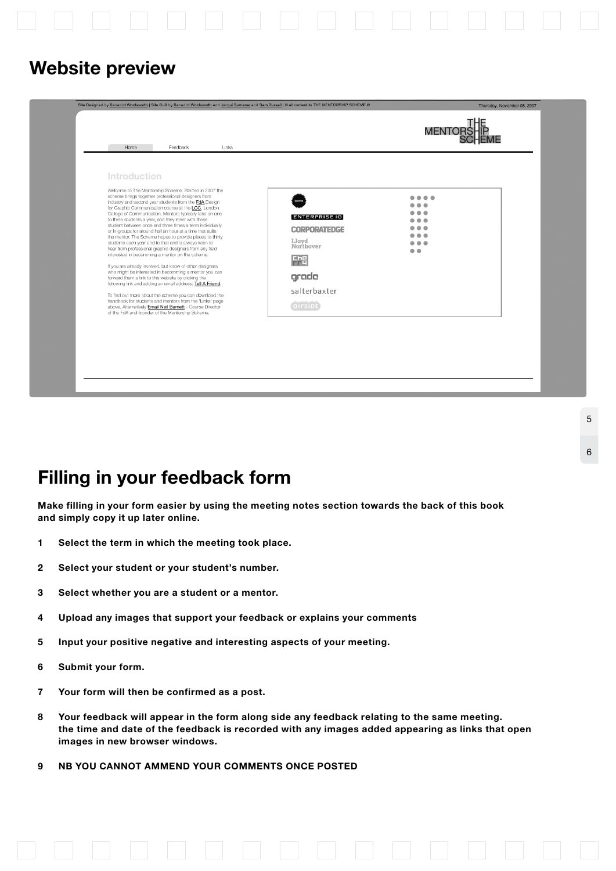

### **Website preview**

| Site Designed by Benedict Wordsworth   Site Built by Benedict Wordsworth and Jacqui Surname and Sam Russell   @ all content to THE MENTORSHIP SCHEME @                                                                                                                                                                                                                                                                                                                                                                                                                                                                                                                                                                                                                                                                                                                                                                                                                                                                                                                                                                                                                                                                               |                                                                                                                                                                                                                                                                                                                                      | Thursday, November 08, 2007<br><b>MENTORS</b> |
|--------------------------------------------------------------------------------------------------------------------------------------------------------------------------------------------------------------------------------------------------------------------------------------------------------------------------------------------------------------------------------------------------------------------------------------------------------------------------------------------------------------------------------------------------------------------------------------------------------------------------------------------------------------------------------------------------------------------------------------------------------------------------------------------------------------------------------------------------------------------------------------------------------------------------------------------------------------------------------------------------------------------------------------------------------------------------------------------------------------------------------------------------------------------------------------------------------------------------------------|--------------------------------------------------------------------------------------------------------------------------------------------------------------------------------------------------------------------------------------------------------------------------------------------------------------------------------------|-----------------------------------------------|
| Home<br>Feedback<br>Links<br>Introduction<br>Welcome to The Mentorship Scheme. Started in 2007 the<br>scheme brings together professional designers from<br>industry and second year students from the FdA Design<br>for Graphic Communication course at the LCC, London<br>College of Communication. Mentors typically take on one<br>to three students a year, and they meet with these<br>student between once and three times a term individually<br>or in groups for around half an hour at a time that suits<br>the mentor. The Scheme hopes to provide places to thirty<br>students each year and to that end is always keen to<br>hear from professional graphic designers from any field<br>interested in becomming a mentor on the scheme.<br>If you are already involved, but know of other designers<br>who might be interested in becomming a mentor you can<br>forward them a link to this website by clicking the<br>following link and adding an email address: Tell A Friend.<br>To find out more about the scheme you can download the<br>handbook for students and mentors from the 'Links' page<br>above. Alternatively Email Neil Barnett - Course Director<br>of the FdA and founder of the Mentorship Scheme. | $\bullet\bullet\bullet\bullet$<br>.<br>$\bullet$ $\bullet$ $\bullet$<br><b>ENTERPRISE IG</b><br>$\bullet$ $\bullet$ $\bullet$<br>$\bullet\bullet\bullet$<br><b>CORPORATEDGE</b><br>$\bullet\bullet\bullet$<br>Llovd<br>$\bullet\bullet\bullet$<br>Northover<br>$\bullet$ $\bullet$<br>FFE<br>grade<br>salterbaxter<br><b>QITSIDE</b> |                                               |

5

6

# **Filling in your feedback form**

**Make filling in your form easier by using the meeting notes section towards the back of this book and simply copy it up later online.**

- **1 Select the term in which the meeting took place.**
- **2 Select your student or your student's number.**
- **3 Select whether you are a student or a mentor.**
- **4 Upload any images that support your feedback or explains your comments**
- **5 Input your positive negative and interesting aspects of your meeting.**
- **6 Submit your form.**
- **7 Your form will then be confirmed as a post.**
- **8 Your feedback will appear in the form along side any feedback relating to the same meeting. the time and date of the feedback is recorded with any images added appearing as links that open images in new browser windows.**
- **9 NB YOU CANNOT AMMEND YOUR COMMENTS ONCE POSTED**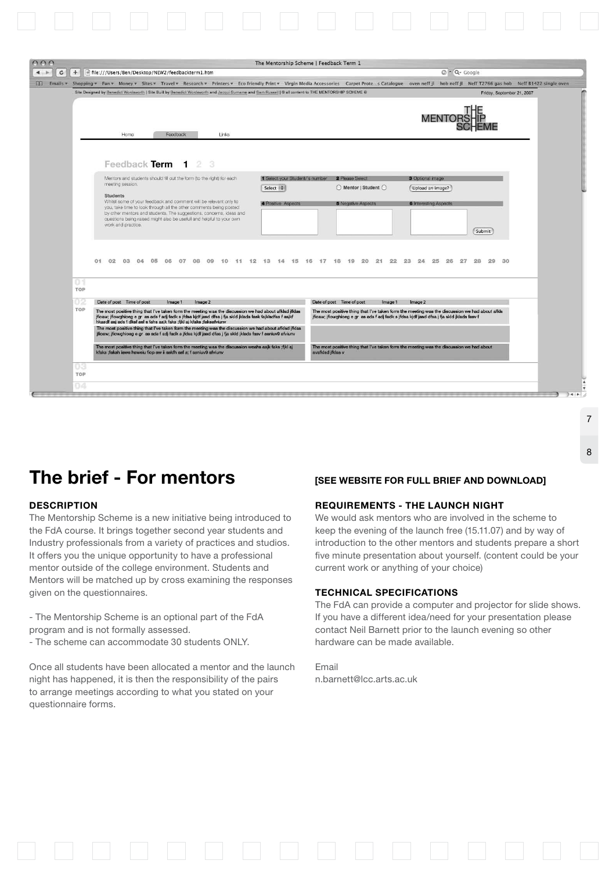| $+$                              |                                                                                                                                                                                                                                                                                                  |                                             | The Mentorship Scheme   Feedback Term 1                                                                                                                                                      |                                                                                          |                            |
|----------------------------------|--------------------------------------------------------------------------------------------------------------------------------------------------------------------------------------------------------------------------------------------------------------------------------------------------|---------------------------------------------|----------------------------------------------------------------------------------------------------------------------------------------------------------------------------------------------|------------------------------------------------------------------------------------------|----------------------------|
|                                  | file:///Users/Ben/Desktop/NEW2/feedbackterm1.htm                                                                                                                                                                                                                                                 |                                             |                                                                                                                                                                                              | $Q - Q - Google$                                                                         |                            |
|                                  | 13 Emails v Shopping v Fun v Money v Sites v Travel v Research v Printers v Eco friendly Print v Virgin Media Accessories Carpet Protes Catalogue oven neff jl hob neff jl Neff T2766 gas hob Neff 81422 single oven                                                                             |                                             |                                                                                                                                                                                              |                                                                                          |                            |
|                                  | Site Designed by Benedict Wordsworth   Site Built by Benedict Wordsworth and Jacqui Sumame and Sam Russell   @ all content to THE MENTORSHIP SCHEME @                                                                                                                                            |                                             |                                                                                                                                                                                              |                                                                                          | Friday, September 21, 2007 |
|                                  |                                                                                                                                                                                                                                                                                                  |                                             |                                                                                                                                                                                              |                                                                                          |                            |
|                                  |                                                                                                                                                                                                                                                                                                  |                                             |                                                                                                                                                                                              |                                                                                          |                            |
| Home                             | Feedback<br>Links                                                                                                                                                                                                                                                                                |                                             |                                                                                                                                                                                              |                                                                                          |                            |
|                                  |                                                                                                                                                                                                                                                                                                  |                                             |                                                                                                                                                                                              |                                                                                          |                            |
|                                  | Feedback Term 1 2 3                                                                                                                                                                                                                                                                              |                                             |                                                                                                                                                                                              |                                                                                          |                            |
|                                  |                                                                                                                                                                                                                                                                                                  |                                             |                                                                                                                                                                                              |                                                                                          |                            |
| meeting session.                 | Mentors and students should fill out the form ito the right) for each                                                                                                                                                                                                                            | 1 Select your Student/'s number<br>Select : | 2 Please Select<br>◯ Mentor   Student ◯                                                                                                                                                      | 3 Optional image<br>Upload an image?                                                     |                            |
| <b>Students</b>                  |                                                                                                                                                                                                                                                                                                  |                                             |                                                                                                                                                                                              |                                                                                          |                            |
|                                  | Whilst some of your feedback and comment will be relevant only to<br>you, take time to look through all the other comments being posted                                                                                                                                                          | 4 Positive Aspects                          | <b>5</b> Negative Aspects                                                                                                                                                                    | <b>6</b> Interesting Aspects                                                             |                            |
|                                  | by other mentors and students. The suggestions, concerns, ideas and<br>questions being raised might also be usefull and helpful to your own                                                                                                                                                      |                                             |                                                                                                                                                                                              |                                                                                          |                            |
| work and practice.               |                                                                                                                                                                                                                                                                                                  |                                             |                                                                                                                                                                                              |                                                                                          | Submit                     |
|                                  |                                                                                                                                                                                                                                                                                                  |                                             |                                                                                                                                                                                              |                                                                                          |                            |
|                                  |                                                                                                                                                                                                                                                                                                  |                                             |                                                                                                                                                                                              |                                                                                          |                            |
| 01 02 03 04                      | 05<br>06<br>07<br>08<br>09<br>10                                                                                                                                                                                                                                                                 |                                             | 11 12 13 14 15 16 17 18 19 20<br>21                                                                                                                                                          | 22 23<br>24<br>25<br>26<br>27                                                            | 28<br>29<br>30             |
|                                  |                                                                                                                                                                                                                                                                                                  |                                             |                                                                                                                                                                                              |                                                                                          |                            |
|                                  |                                                                                                                                                                                                                                                                                                  |                                             |                                                                                                                                                                                              |                                                                                          |                            |
| TOP                              |                                                                                                                                                                                                                                                                                                  |                                             |                                                                                                                                                                                              |                                                                                          |                            |
| Date of post Time of post<br>TOP | Image 1<br>Image 2                                                                                                                                                                                                                                                                               |                                             | Date of post Time of post<br>Image 1                                                                                                                                                         | Image 2                                                                                  |                            |
|                                  | The most positive thing that I've taken form the meeting was the discussion we had about afklad jfklas<br>jfioaw; jfiowghioeg e gr  as ads f adj fadk s jfdsa kjdf jasd dfsa j fja skld jklads fask fajklsdfas f asjkf<br>hkasdf asj ads f dksf asf s fahs asjk faks ;fjkl aj kfaks ;faksafviunv |                                             | The most positive thing that I've taken form the meeting was the discussion we had about afkls<br>jfioaw; jfiowghioeg e gr as ads f adj fadk s jfdsa kjdf jasd dfsa j fja skld jklads fasv f |                                                                                          |                            |
|                                  | The most positive thing that I've taken form the meeting was the discussion we had about afkled jfklas                                                                                                                                                                                           |                                             |                                                                                                                                                                                              |                                                                                          |                            |
|                                  | jfioaw; jfiowghioeg e gr as ads f adj fadk s jfdsa kjdf jasd dfsa j fja skld jklads fasv f asniuv9 afviunv                                                                                                                                                                                       |                                             |                                                                                                                                                                                              |                                                                                          |                            |
|                                  |                                                                                                                                                                                                                                                                                                  |                                             |                                                                                                                                                                                              | The most positive thing that I've taken form the meeting was the discussion we had about |                            |
|                                  | The most positive thing that I've taken form the meeting was the discussion weahs asik faks ; fikl aj<br>kfaks ;faksh iawe haweiu fiop aw ii askfh asf s; f asniuv9 afviunv                                                                                                                      |                                             | avafkled jfklas v                                                                                                                                                                            |                                                                                          |                            |

# **The brief - For mentors [see website for full brief and download]**

### **Description**

The Mentorship Scheme is a new initiative being introduced to the FdA course. It brings together second year students and Industry professionals from a variety of practices and studios. It offers you the unique opportunity to have a professional mentor outside of the college environment. Students and Mentors will be matched up by cross examining the responses given on the questionnaires.

- The Mentorship Scheme is an optional part of the FdA program and is not formally assessed.

- The scheme can accommodate 30 students ONLY.

Once all students have been allocated a mentor and the launch night has happened, it is then the responsibility of the pairs to arrange meetings according to what you stated on your questionnaire forms.

### **Requirements - The Launch Night**

We would ask mentors who are involved in the scheme to keep the evening of the launch free (15.11.07) and by way of introduction to the other mentors and students prepare a short five minute presentation about yourself. (content could be your current work or anything of your choice)

7

8

#### **Technical specifications**

The FdA can provide a computer and projector for slide shows. If you have a different idea/need for your presentation please contact Neil Barnett prior to the launch evening so other hardware can be made available.

Email n.barnett@lcc.arts.ac.uk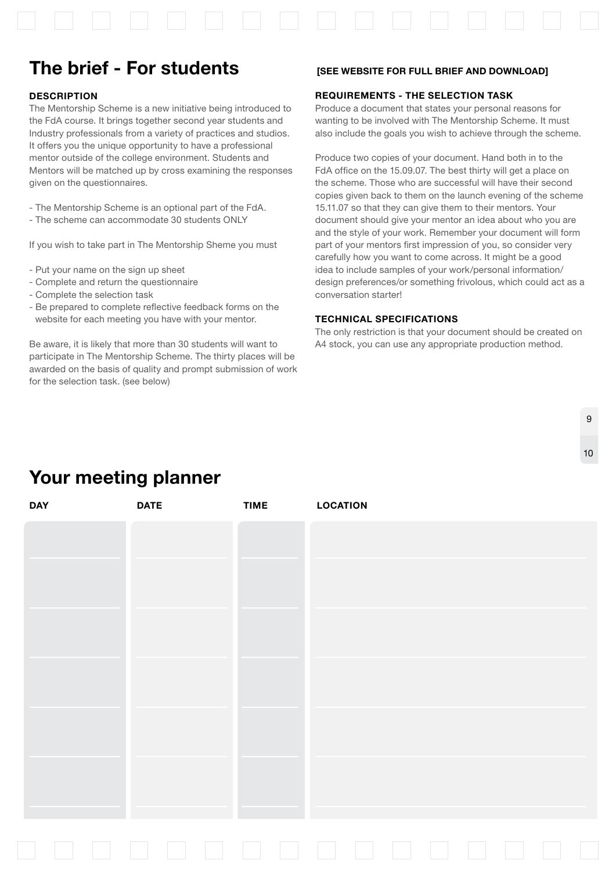

# **The brief - For students [see website for full brief and download]**

### **Description**

The Mentorship Scheme is a new initiative being introduced to the FdA course. It brings together second year students and Industry professionals from a variety of practices and studios. It offers you the unique opportunity to have a professional mentor outside of the college environment. Students and Mentors will be matched up by cross examining the responses given on the questionnaires.

- The Mentorship Scheme is an optional part of the FdA.
- The scheme can accommodate 30 students ONLY

If you wish to take part in The Mentorship Sheme you must

- Put your name on the sign up sheet
- Complete and return the questionnaire
- Complete the selection task
- Be prepared to complete reflective feedback forms on the website for each meeting you have with your mentor.

Be aware, it is likely that more than 30 students will want to participate in The Mentorship Scheme. The thirty places will be awarded on the basis of quality and prompt submission of work for the selection task. (see below)

### **Requirements - The Selection Task**

Produce a document that states your personal reasons for wanting to be involved with The Mentorship Scheme. It must also include the goals you wish to achieve through the scheme.

Produce two copies of your document. Hand both in to the FdA office on the 15.09.07. The best thirty will get a place on the scheme. Those who are successful will have their second copies given back to them on the launch evening of the scheme 15.11.07 so that they can give them to their mentors. Your document should give your mentor an idea about who you are and the style of your work. Remember your document will form part of your mentors first impression of you, so consider very carefully how you want to come across. It might be a good idea to include samples of your work/personal information/ design preferences/or something frivolous, which could act as a conversation starter!

### **Technical specifications**

The only restriction is that your document should be created on A4 stock, you can use any appropriate production method.

 $\Omega$ 

10

# **Your meeting planner**

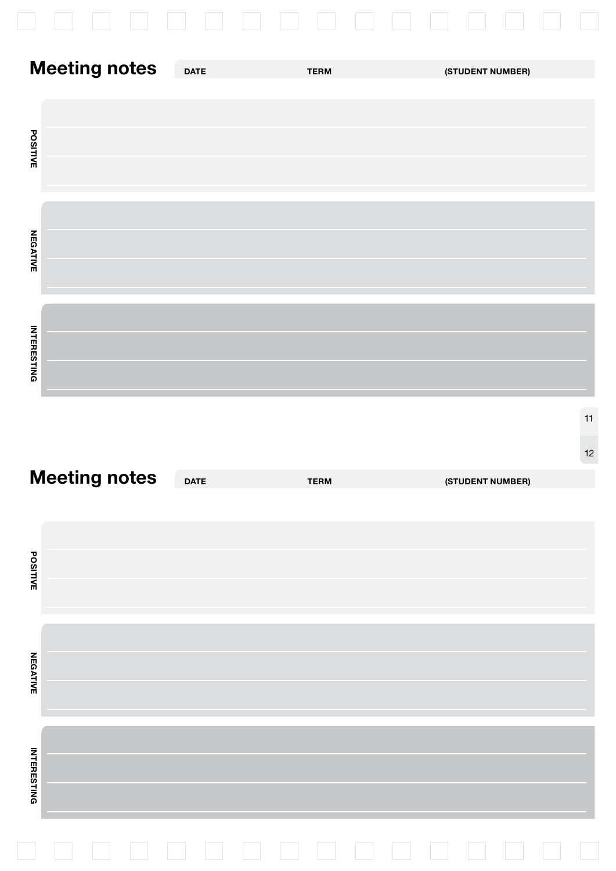|                      |             | and the state of the state |                  |
|----------------------|-------------|----------------------------|------------------|
| <b>Meeting notes</b> | <b>DATE</b> | <b>TERM</b>                | (STUDENT NUMBER) |
| <b>POSITIVE</b>      |             |                            |                  |
| <b>NEGATIVE</b>      |             |                            |                  |
| <b>INTERESTING</b>   |             |                            |                  |

| <b>Meeting notes</b> | <b>DATE</b> | <b>TERM</b>                             | (STUDENT NUMBER) |
|----------------------|-------------|-----------------------------------------|------------------|
|                      |             |                                         |                  |
|                      |             |                                         |                  |
| <b>POSITIVE</b>      |             |                                         |                  |
|                      |             |                                         |                  |
|                      |             |                                         |                  |
| <b>NEGATIVE</b>      |             |                                         |                  |
|                      |             |                                         |                  |
|                      |             |                                         |                  |
|                      |             |                                         |                  |
| <b>INTERESTING</b>   |             |                                         |                  |
|                      |             |                                         |                  |
|                      |             | $\mathcal{L}^{\text{max}}_{\text{max}}$ | an an            |

12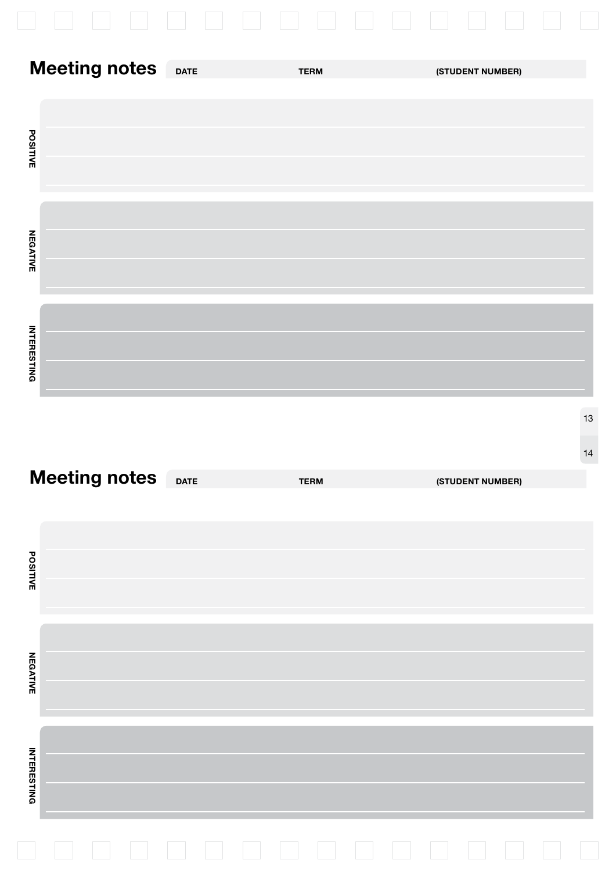|                      | an an<br><b>Contract</b> | <b>The Contract</b><br>$\mathcal{A} \subset \mathcal{A}$ | an an            |
|----------------------|--------------------------|----------------------------------------------------------|------------------|
| <b>Meeting notes</b> | <b>DATE</b>              | <b>TERM</b>                                              | (STUDENT NUMBER) |
|                      |                          |                                                          |                  |
| <b>POSITIVE</b>      |                          |                                                          |                  |
|                      |                          |                                                          |                  |
|                      |                          |                                                          |                  |
| <b>NEGATIVE</b>      |                          |                                                          |                  |
|                      |                          |                                                          |                  |
| <b>INTERESTING</b>   |                          |                                                          |                  |
|                      |                          |                                                          | $13$             |
|                      |                          |                                                          | 14               |
| <b>Meeting notes</b> | <b>DATE</b>              | <b>TERM</b>                                              | (STUDENT NUMBER) |
|                      |                          |                                                          |                  |
| POSITIVE             |                          |                                                          |                  |
|                      |                          |                                                          |                  |
| <b>NEGATIVE</b>      |                          |                                                          |                  |
|                      |                          |                                                          |                  |
|                      |                          |                                                          |                  |
| <b>INTERESTING</b>   |                          |                                                          |                  |

| <b>Meeting notes</b> | <b>DATE</b> | <b>TERM</b> | (STUDENT NUMBER) |
|----------------------|-------------|-------------|------------------|
|                      |             |             |                  |
|                      |             |             |                  |
| <b>POSITIVE</b>      |             |             |                  |
|                      |             |             |                  |
|                      |             |             |                  |
| <b>NEGATIVE</b>      |             |             |                  |
|                      |             |             |                  |
|                      |             |             |                  |
|                      |             |             |                  |
|                      |             |             |                  |
| <b>INTERESTING</b>   |             |             |                  |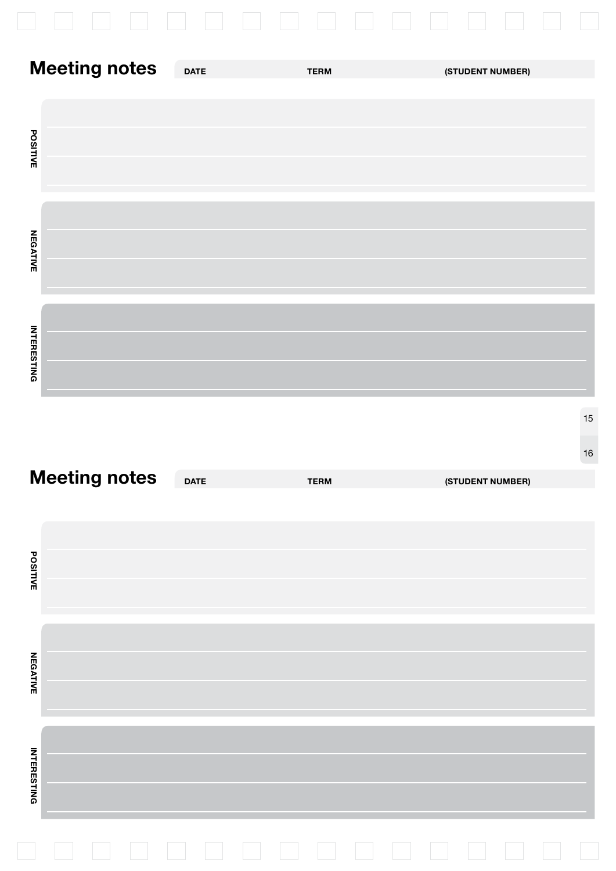| J.                   |             |             |                  |
|----------------------|-------------|-------------|------------------|
| <b>Meeting notes</b> | <b>DATE</b> | <b>TERM</b> | (STUDENT NUMBER) |
| <b>POSITIVE</b>      |             |             |                  |
| <b>NEGATIVE</b>      |             |             |                  |
| <b>INTERESTING</b>   |             |             |                  |

| <b>POSITIVE</b>    |                      |             |             |                  |
|--------------------|----------------------|-------------|-------------|------------------|
| <b>NEGATIVE</b>    |                      |             |             |                  |
| <b>INTERESTING</b> |                      |             |             |                  |
|                    |                      |             |             |                  |
|                    |                      |             |             |                  |
| <b>POSITIVE</b>    | <b>Meeting notes</b> | <b>DATE</b> | <b>TERM</b> | (STUDENT NUMBER) |
| <b>NEGATIVE</b>    |                      |             |             |                  |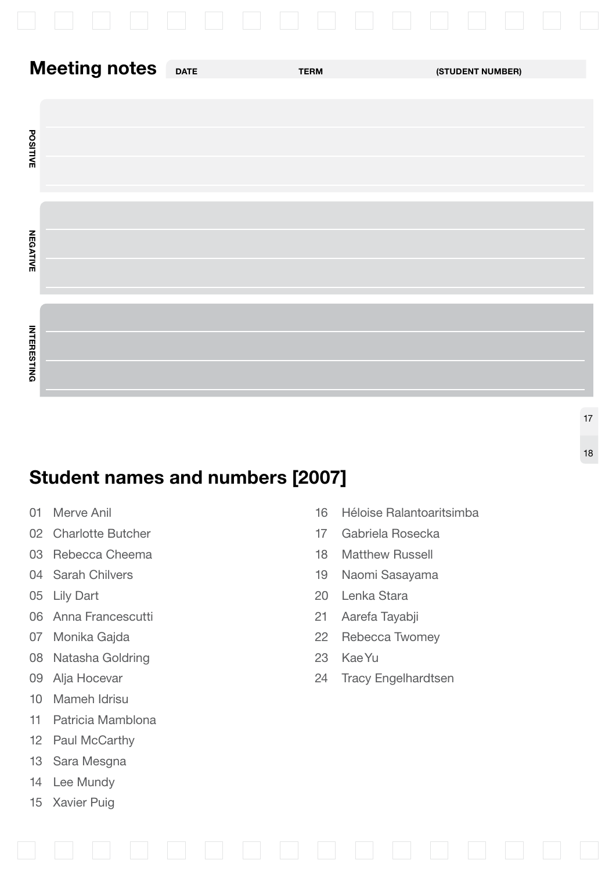| <b>Meeting notes</b> | <b>TERM</b> | (STUDENT NUMBER) |
|----------------------|-------------|------------------|
| <b>POSITIVE</b>      |             |                  |
| <b>NEGATIVE</b>      |             |                  |
| <b>INTERESTING</b>   |             |                  |

# **Student names and numbers [2007]**

- 
- 02 Charlotte Butcher 17 Gabriela Rosecka
- 03 Rebecca Cheema 18 Matthew Russell
- 
- 
- 06 Anna Francescutti 21 Aarefa Tayabji
- 
- 08 Natasha Goldring 23 KaeYu
- 
- 10 Mameh Idrisu
- 11 Patricia Mamblona
- 12 Paul McCarthy
- 13 Sara Mesgna
- 14 Lee Mundy
- 15 Xavier Puig

01 Merve Anil 16 Héloise Ralantoaritsimba

18

- 
- 
- 04 Sarah Chilvers **19 Naomi Sasayama**
- 05 Lily Dart 20 Lenka Stara
	-
- 07 Monika Gajda 22 Rebecca Twomey
	-
- 09 Alja Hocevar 24 Tracy Engelhardtsen